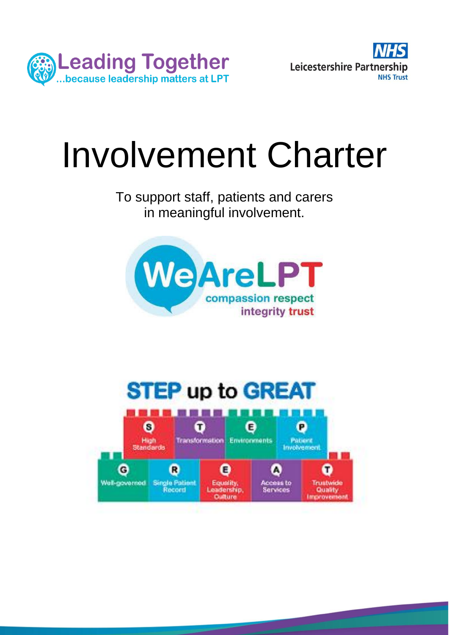



# Involvement Charter

To support staff, patients and carers in meaningful involvement.



# **STEP up to GREAT**

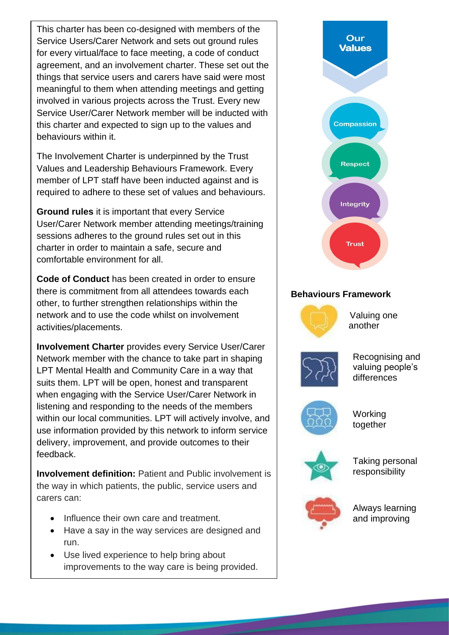This charter has been co-designed with members of the Service Users/Carer Network and sets out ground rules for every virtual/face to face meeting, a code of conduct agreement, and an involvement charter. These set out the things that service users and carers have said were most meaningful to them when attending meetings and getting involved in various projects across the Trust. Every new Service User/Carer Network member will be inducted with this charter and expected to sign up to the values and behaviours within it.

The Involvement Charter is underpinned by the Trust Values and Leadership Behaviours Framework. Every member of LPT staff have been inducted against and is required to adhere to these set of values and behaviours.

**Ground rules** it is important that every Service User/Carer Network member attending meetings/training sessions adheres to the ground rules set out in this charter in order to maintain a safe, secure and comfortable environment for all.

there is commitment from all attendees towards each **Behaviours Framework Code of Conduct** has been created in order to ensure other, to further strengthen relationships within the network and to use the code whilst on involvement activities/placements.

**Involvement Charter** provides every Service User/Carer Network member with the chance to take part in shaping LPT Mental Health and Community Care in a way that suits them. LPT will be open, honest and transparent when engaging with the Service User/Carer Network in listening and responding to the needs of the members within our local communities. LPT will actively involve, and use information provided by this network to inform service delivery, improvement, and provide outcomes to their feedback.

**Involvement definition:** Patient and Public involvement is the way in which patients, the public, service users and carers can:

- Influence their own care and treatment.
- Have a say in the way services are designed and run.
- Use lived experience to help bring about improvements to the way care is being provided.

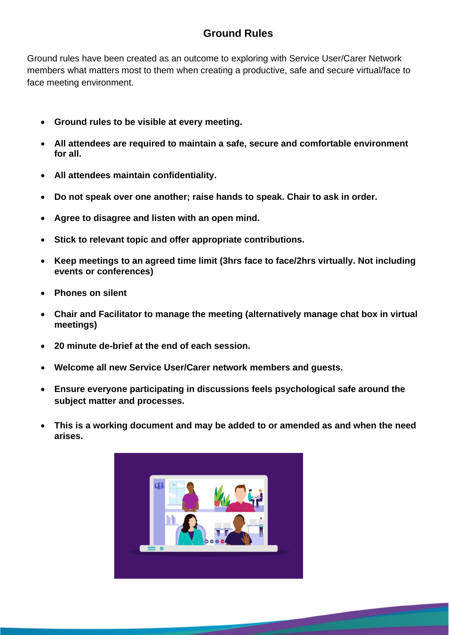# **Ground Rules**

Ground rules have been created as an outcome to exploring with Service User/Carer Network members what matters most to them when creating a productive, safe and secure virtual/face to face meeting environment.

- **Ground rules to be visible at every meeting.**
- **All attendees are required to maintain a safe, secure and comfortable environment for all.**
- **All attendees maintain confidentiality.**
- **Do not speak over one another; raise hands to speak. Chair to ask in order.**
- **Agree to disagree and listen with an open mind.**
- **Stick to relevant topic and offer appropriate contributions.**
- **Keep meetings to an agreed time limit (3hrs face to face/2hrs virtually. Not including events or conferences)**
- **Phones on silent**
- **Chair and Facilitator to manage the meeting (alternatively manage chat box in virtual meetings)**
- **20 minute de-brief at the end of each session.**
- **Welcome all new Service User/Carer network members and guests.**
- **Ensure everyone participating in discussions feels psychological safe around the subject matter and processes.**
- **This is a working document and may be added to or amended as and when the need arises.**

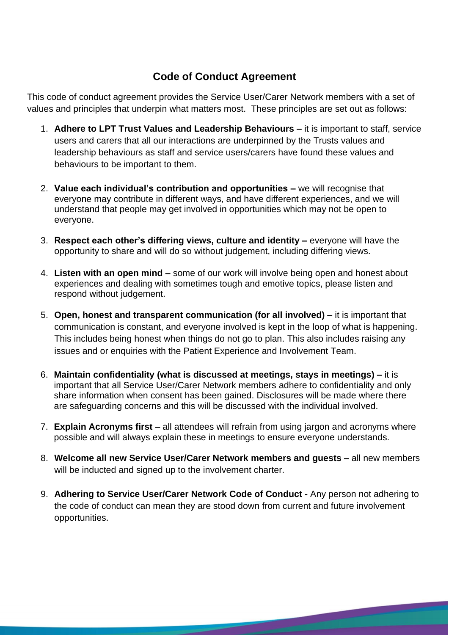# **Code of Conduct Agreement**

This code of conduct agreement provides the Service User/Carer Network members with a set of values and principles that underpin what matters most. These principles are set out as follows:

- 1. **Adhere to LPT Trust Values and Leadership Behaviours –** it is important to staff, service users and carers that all our interactions are underpinned by the Trusts values and leadership behaviours as staff and service users/carers have found these values and behaviours to be important to them.
- 2. **Value each individual's contribution and opportunities –** we will recognise that everyone may contribute in different ways, and have different experiences, and we will understand that people may get involved in opportunities which may not be open to everyone.
- 3. **Respect each other's differing views, culture and identity –** everyone will have the opportunity to share and will do so without judgement, including differing views.
- 4. **Listen with an open mind –** some of our work will involve being open and honest about experiences and dealing with sometimes tough and emotive topics, please listen and respond without judgement.
- 5. **Open, honest and transparent communication (for all involved) –** it is important that communication is constant, and everyone involved is kept in the loop of what is happening. This includes being honest when things do not go to plan. This also includes raising any issues and or enquiries with the Patient Experience and Involvement Team.
- 6. **Maintain confidentiality (what is discussed at meetings, stays in meetings) –** it is important that all Service User/Carer Network members adhere to confidentiality and only share information when consent has been gained. Disclosures will be made where there are safeguarding concerns and this will be discussed with the individual involved.
- 7. **Explain Acronyms first –** all attendees will refrain from using jargon and acronyms where possible and will always explain these in meetings to ensure everyone understands.
- 8. **Welcome all new Service User/Carer Network members and guests –** all new members will be inducted and signed up to the involvement charter.
- 9. **Adhering to Service User/Carer Network Code of Conduct -** Any person not adhering to the code of conduct can mean they are stood down from current and future involvement opportunities.